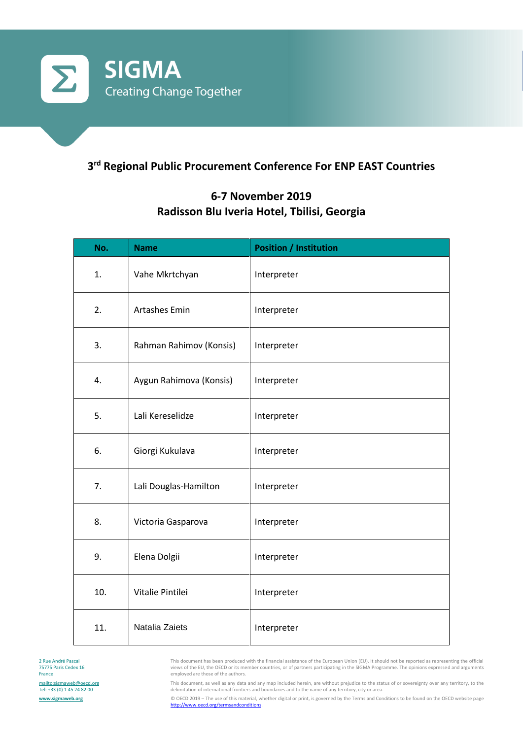

## **3 rd Regional Public Procurement Conference For ENP EAST Countries**

## **6-7 November 2019 Radisson Blu Iveria Hotel, Tbilisi, Georgia**

| No. | <b>Name</b>             | <b>Position / Institution</b> |
|-----|-------------------------|-------------------------------|
| 1.  | Vahe Mkrtchyan          | Interpreter                   |
| 2.  | <b>Artashes Emin</b>    | Interpreter                   |
| 3.  | Rahman Rahimov (Konsis) | Interpreter                   |
| 4.  | Aygun Rahimova (Konsis) | Interpreter                   |
| 5.  | Lali Kereselidze        | Interpreter                   |
| 6.  | Giorgi Kukulava         | Interpreter                   |
| 7.  | Lali Douglas-Hamilton   | Interpreter                   |
| 8.  | Victoria Gasparova      | Interpreter                   |
| 9.  | Elena Dolgii            | Interpreter                   |
| 10. | Vitalie Pintilei        | Interpreter                   |
| 11. | Natalia Zaiets          | Interpreter                   |

This document has been produced with the financial assistance of the European Union (EU). It should not be reported as representing the official views of the EU, the OECD or its member countries, or of partners participating in the SIGMA Programme. The opinions expressed and arguments employed are those of the authors.

This document, as well as any data and any map included herein, are without prejudice to the status of or sovereignty over any territory, to the delimitation of international frontiers and boundaries and to the name of any territory, city or area.

© OECD 2019 – The use of this material, whether digital or print, is governed by the Terms and Conditions to be found on the OECD website page [http://www.oecd.org/termsandconditions.](http://www.oecd.org/termsandconditions)

2 Rue André Pascal 75775 Paris Cedex 16 France <mailto:sigmaweb@oecd.org> Tel: +33 (0) 1 45 24 82 00 **[www.sigmaweb.org](http://www.sigmaweb.org/)**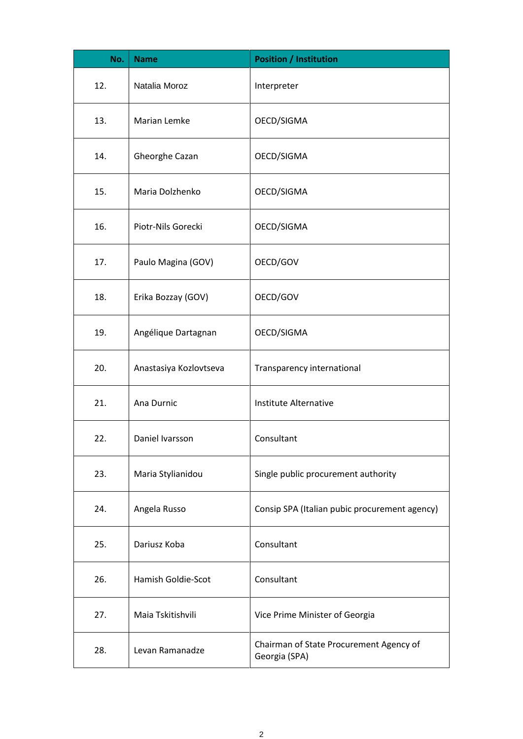| No. | <b>Name</b>            | <b>Position / Institution</b>                            |
|-----|------------------------|----------------------------------------------------------|
| 12. | Natalia Moroz          | Interpreter                                              |
| 13. | Marian Lemke           | OECD/SIGMA                                               |
| 14. | Gheorghe Cazan         | OECD/SIGMA                                               |
| 15. | Maria Dolzhenko        | OECD/SIGMA                                               |
| 16. | Piotr-Nils Gorecki     | OECD/SIGMA                                               |
| 17. | Paulo Magina (GOV)     | OECD/GOV                                                 |
| 18. | Erika Bozzay (GOV)     | OECD/GOV                                                 |
| 19. | Angélique Dartagnan    | OECD/SIGMA                                               |
| 20. | Anastasiya Kozlovtseva | Transparency international                               |
| 21. | Ana Durnic             | Institute Alternative                                    |
| 22. | Daniel Ivarsson        | Consultant                                               |
| 23. | Maria Stylianidou      | Single public procurement authority                      |
| 24. | Angela Russo           | Consip SPA (Italian pubic procurement agency)            |
| 25. | Dariusz Koba           | Consultant                                               |
| 26. | Hamish Goldie-Scot     | Consultant                                               |
| 27. | Maia Tskitishvili      | Vice Prime Minister of Georgia                           |
| 28. | Levan Ramanadze        | Chairman of State Procurement Agency of<br>Georgia (SPA) |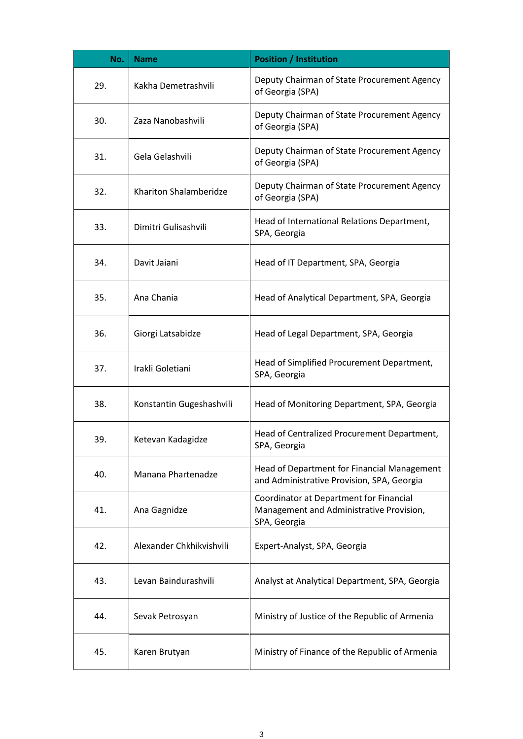| No. | <b>Name</b>              | <b>Position / Institution</b>                                                                       |
|-----|--------------------------|-----------------------------------------------------------------------------------------------------|
| 29. | Kakha Demetrashvili      | Deputy Chairman of State Procurement Agency<br>of Georgia (SPA)                                     |
| 30. | Zaza Nanobashvili        | Deputy Chairman of State Procurement Agency<br>of Georgia (SPA)                                     |
| 31. | Gela Gelashvili          | Deputy Chairman of State Procurement Agency<br>of Georgia (SPA)                                     |
| 32. | Khariton Shalamberidze   | Deputy Chairman of State Procurement Agency<br>of Georgia (SPA)                                     |
| 33. | Dimitri Gulisashvili     | Head of International Relations Department,<br>SPA, Georgia                                         |
| 34. | Davit Jaiani             | Head of IT Department, SPA, Georgia                                                                 |
| 35. | Ana Chania               | Head of Analytical Department, SPA, Georgia                                                         |
| 36. | Giorgi Latsabidze        | Head of Legal Department, SPA, Georgia                                                              |
| 37. | Irakli Goletiani         | Head of Simplified Procurement Department,<br>SPA, Georgia                                          |
| 38. | Konstantin Gugeshashvili | Head of Monitoring Department, SPA, Georgia                                                         |
| 39. | Ketevan Kadagidze        | Head of Centralized Procurement Department,<br>SPA, Georgia                                         |
| 40. | Manana Phartenadze       | Head of Department for Financial Management<br>and Administrative Provision, SPA, Georgia           |
| 41. | Ana Gagnidze             | Coordinator at Department for Financial<br>Management and Administrative Provision,<br>SPA, Georgia |
| 42. | Alexander Chkhikvishvili | Expert-Analyst, SPA, Georgia                                                                        |
| 43. | Levan Baindurashvili     | Analyst at Analytical Department, SPA, Georgia                                                      |
| 44. | Sevak Petrosyan          | Ministry of Justice of the Republic of Armenia                                                      |
| 45. | Karen Brutyan            | Ministry of Finance of the Republic of Armenia                                                      |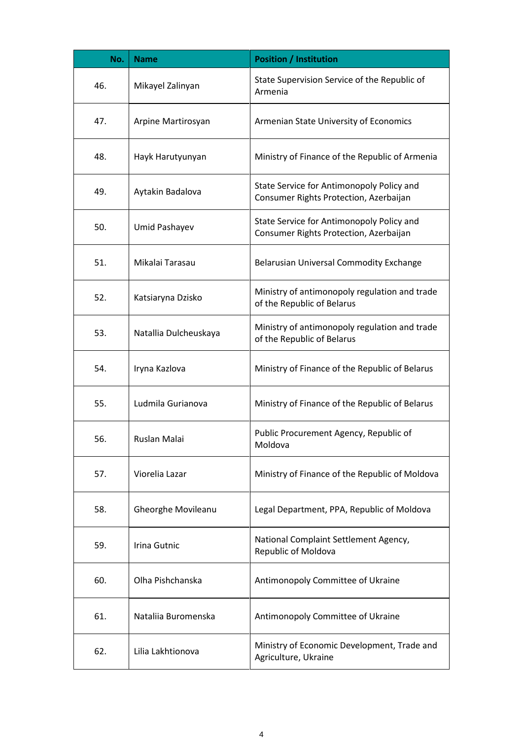| No. | <b>Name</b>               | <b>Position / Institution</b>                                                       |
|-----|---------------------------|-------------------------------------------------------------------------------------|
| 46. | Mikayel Zalinyan          | State Supervision Service of the Republic of<br>Armenia                             |
| 47. | Arpine Martirosyan        | Armenian State University of Economics                                              |
| 48. | Hayk Harutyunyan          | Ministry of Finance of the Republic of Armenia                                      |
| 49. | Aytakin Badalova          | State Service for Antimonopoly Policy and<br>Consumer Rights Protection, Azerbaijan |
| 50. | Umid Pashayev             | State Service for Antimonopoly Policy and<br>Consumer Rights Protection, Azerbaijan |
| 51. | Mikalai Tarasau           | Belarusian Universal Commodity Exchange                                             |
| 52. | Katsiaryna Dzisko         | Ministry of antimonopoly regulation and trade<br>of the Republic of Belarus         |
| 53. | Natallia Dulcheuskaya     | Ministry of antimonopoly regulation and trade<br>of the Republic of Belarus         |
| 54. | Iryna Kazlova             | Ministry of Finance of the Republic of Belarus                                      |
| 55. | Ludmila Gurianova         | Ministry of Finance of the Republic of Belarus                                      |
| 56. | Ruslan Malai              | Public Procurement Agency, Republic of<br>Moldova                                   |
| 57. | Viorelia Lazar            | Ministry of Finance of the Republic of Moldova                                      |
| 58. | <b>Gheorghe Movileanu</b> | Legal Department, PPA, Republic of Moldova                                          |
| 59. | Irina Gutnic              | National Complaint Settlement Agency,<br>Republic of Moldova                        |
| 60. | Olha Pishchanska          | Antimonopoly Committee of Ukraine                                                   |
| 61. | Nataliia Buromenska       | Antimonopoly Committee of Ukraine                                                   |
| 62. | Lilia Lakhtionova         | Ministry of Economic Development, Trade and<br>Agriculture, Ukraine                 |